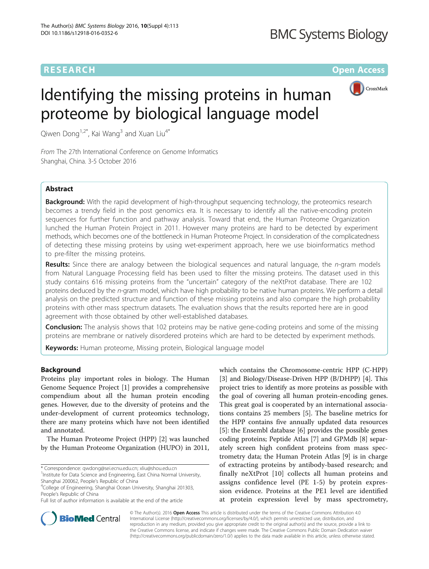## RESEARCH **RESEARCH CONSUMING THE CONSUMING THE CONSUMING THE CONSUMING TEAM Open Access**



# Identifying the missing proteins in human proteome by biological language model

Qiwen Dong<sup>1,2\*</sup>, Kai Wang<sup>3</sup> and Xuan Liu<sup>4\*</sup>

From The 27th International Conference on Genome Informatics Shanghai, China. 3-5 October 2016

## Abstract

**Background:** With the rapid development of high-throughput sequencing technology, the proteomics research becomes a trendy field in the post genomics era. It is necessary to identify all the native-encoding protein sequences for further function and pathway analysis. Toward that end, the Human Proteome Organization lunched the Human Protein Project in 2011. However many proteins are hard to be detected by experiment methods, which becomes one of the bottleneck in Human Proteome Project. In consideration of the complicatedness of detecting these missing proteins by using wet-experiment approach, here we use bioinformatics method to pre-filter the missing proteins.

Results: Since there are analogy between the biological sequences and natural language, the n-gram models from Natural Language Processing field has been used to filter the missing proteins. The dataset used in this study contains 616 missing proteins from the "uncertain" category of the neXtProt database. There are 102 proteins deduced by the n-gram model, which have high probability to be native human proteins. We perform a detail analysis on the predicted structure and function of these missing proteins and also compare the high probability proteins with other mass spectrum datasets. The evaluation shows that the results reported here are in good agreement with those obtained by other well-established databases.

**Conclusion:** The analysis shows that 102 proteins may be native gene-coding proteins and some of the missing proteins are membrane or natively disordered proteins which are hard to be detected by experiment methods.

Keywords: Human proteome, Missing protein, Biological language model

## Background

Proteins play important roles in biology. The Human Genome Sequence Project [\[1\]](#page-5-0) provides a comprehensive compendium about all the human protein encoding genes. However, due to the diversity of proteins and the under-development of current proteomics technology, there are many proteins which have not been identified and annotated.

The Human Proteome Project (HPP) [[2\]](#page-5-0) was launched by the Human Proteome Organization (HUPO) in 2011,

\* Correspondence: [qwdong@sei.ecnu.edu.cn;](mailto:qwdong@sei.ecnu.edu.cn) [xliu@shou.edu.cn](mailto:xliu@shou.edu.cn) <sup>1</sup>

College of Engineering, Shanghai Ocean University, Shanghai 201303, People's Republic of China

Full list of author information is available at the end of the article

which contains the Chromosome-centric HPP (C-HPP) [[3\]](#page-5-0) and Biology/Disease-Driven HPP (B/DHPP) [[4\]](#page-5-0). This project tries to identify as more proteins as possible with the goal of covering all human protein-encoding genes. This great goal is cooperated by an international associations contains 25 members [[5\]](#page-5-0). The baseline metrics for the HPP contains five annually updated data resources [[5\]](#page-5-0): the Ensembl database [[6\]](#page-5-0) provides the possible genes coding proteins; Peptide Atlas [[7\]](#page-5-0) and GPMdb [[8](#page-5-0)] separately screen high confident proteins from mass spectrometry data; the Human Protein Atlas [[9\]](#page-5-0) is in charge of extracting proteins by antibody-based research; and finally neXtProt [\[10](#page-5-0)] collects all human proteins and assigns confidence level (PE 1-5) by protein expression evidence. Proteins at the PE1 level are identified at protein expression level by mass spectrometry,



© The Author(s). 2016 Open Access This article is distributed under the terms of the Creative Commons Attribution 4.0 International License [\(http://creativecommons.org/licenses/by/4.0/](http://creativecommons.org/licenses/by/4.0/)), which permits unrestricted use, distribution, and reproduction in any medium, provided you give appropriate credit to the original author(s) and the source, provide a link to the Creative Commons license, and indicate if changes were made. The Creative Commons Public Domain Dedication waiver [\(http://creativecommons.org/publicdomain/zero/1.0/](http://creativecommons.org/publicdomain/zero/1.0/)) applies to the data made available in this article, unless otherwise stated.

<sup>&</sup>lt;sup>1</sup> Institute for Data Science and Engineering, East China Normal University, Shanghai 200062, People's Republic of China <sup>4</sup>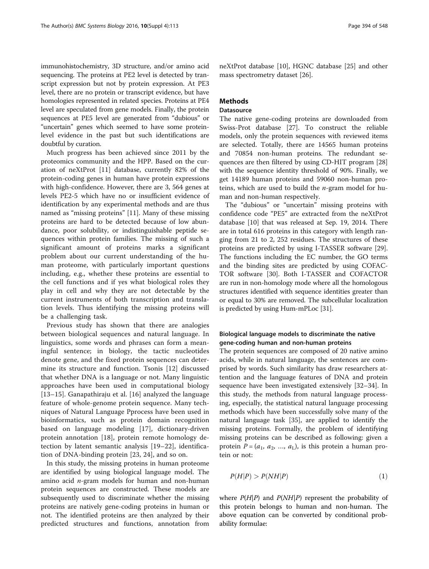immunohistochemistry, 3D structure, and/or amino acid sequencing. The proteins at PE2 level is detected by transcript expression but not by protein expression. At PE3 level, there are no protein or transcript evidence, but have homologies represented in related species. Proteins at PE4 level are speculated from gene models. Finally, the protein sequences at PE5 level are generated from "dubious" or "uncertain" genes which seemed to have some proteinlevel evidence in the past but such identifications are doubtful by curation.

Much progress has been achieved since 2011 by the proteomics community and the HPP. Based on the curation of neXtProt [[11\]](#page-5-0) database, currently 82% of the protein-coding genes in human have protein expressions with high-confidence. However, there are 3, 564 genes at levels PE2-5 which have no or insufficient evidence of identification by any experimental methods and are thus named as "missing proteins" [[11](#page-5-0)]. Many of these missing proteins are hard to be detected because of low abundance, poor solubility, or indistinguishable peptide sequences within protein families. The missing of such a significant amount of proteins marks a significant problem about our current understanding of the human proteome, with particularly important questions including, e.g., whether these proteins are essential to the cell functions and if yes what biological roles they play in cell and why they are not detectable by the current instruments of both transcription and translation levels. Thus identifying the missing proteins will be a challenging task.

Previous study has shown that there are analogies between biological sequences and natural language. In linguistics, some words and phrases can form a meaningful sentence; in biology, the tactic nucleotides denote gene, and the fixed protein sequences can determine its structure and function. Tsonis [[12\]](#page-6-0) discussed that whether DNA is a language or not. Many linguistic approaches have been used in computational biology [[13](#page-6-0)–[15\]](#page-6-0). Ganapathiraju et al. [[16\]](#page-6-0) analyzed the language feature of whole-genome protein sequence. Many techniques of Natural Language Pprocess have been used in bioinformatics, such as protein domain recognition based on language modeling [[17\]](#page-6-0), dictionary-driven protein annotation [[18\]](#page-6-0), protein remote homology detection by latent semantic analysis [[19](#page-6-0)–[22\]](#page-6-0), identification of DNA-binding protein [[23, 24\]](#page-6-0), and so on.

In this study, the missing proteins in human proteome are identified by using biological language model. The amino acid n-gram models for human and non-human protein sequences are constructed. These models are subsequently used to discriminate whether the missing proteins are natively gene-coding proteins in human or not. The identified proteins are then analyzed by their predicted structures and functions, annotation from neXtProt database [[10](#page-5-0)], HGNC database [\[25](#page-6-0)] and other mass spectrometry dataset [\[26](#page-6-0)].

## Methods

## **Datasource**

The native gene-coding proteins are downloaded from Swiss-Prot database [[27\]](#page-6-0). To construct the reliable models, only the protein sequences with reviewed items are selected. Totally, there are 14565 human proteins and 70854 non-human proteins. The redundant sequences are then filtered by using CD-HIT program [[28](#page-6-0)] with the sequence identity threshold of 90%. Finally, we get 14189 human proteins and 59060 non-human proteins, which are used to build the  $n$ -gram model for human and non-human respectively.

The "dubious" or "uncertain" missing proteins with confidence code "PE5" are extracted from the neXtProt database [[10\]](#page-5-0) that was released at Sep. 19, 2014. There are in total 616 proteins in this category with length ranging from 21 to 2, 252 residues. The structures of these proteins are predicted by using I-TASSER software [\[29](#page-6-0)]. The functions including the EC number, the GO terms and the binding sites are predicted by using COFAC-TOR software [\[30](#page-6-0)]. Both I-TASSER and COFACTOR are run in non-homology mode where all the homologous structures identified with sequence identities greater than or equal to 30% are removed. The subcellular localization is predicted by using Hum-mPLoc [[31\]](#page-6-0).

## Biological language models to discriminate the native gene-coding human and non-human proteins

The protein sequences are composed of 20 native amino acids, while in natural language, the sentences are comprised by words. Such similarity has draw researchers attention and the language features of DNA and protein sequence have been investigated extensively [\[32](#page-6-0)–[34\]](#page-6-0). In this study, the methods from natural language processing, especially, the statistical natural language processing methods which have been successfully solve many of the natural language task [\[35](#page-6-0)], are applied to identify the missing proteins. Formally, the problem of identifying missing proteins can be described as following: given a protein  $P = (a_1, a_2, ..., a_L)$ , is this protein a human protein or not:

$$
P(H|P) > P(NH|P)
$$
\n<sup>(1)</sup>

where  $P(H|P)$  and  $P(NH|P)$  represent the probability of this protein belongs to human and non-human. The above equation can be converted by conditional probability formulae: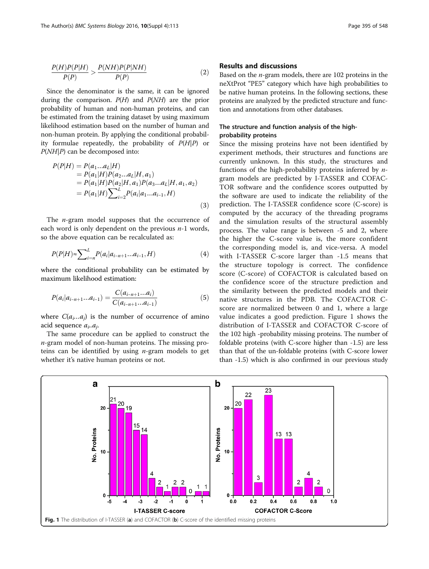$$
\frac{P(H)P(P|H)}{P(P)} > \frac{P(NH)P(P|NH)}{P(P)}\tag{2}
$$

Since the denominator is the same, it can be ignored during the comparison.  $P(H)$  and  $P(NH)$  are the prior probability of human and non-human proteins, and can be estimated from the training dataset by using maximum likelihood estimation based on the number of human and non-human protein. By applying the conditional probability formulae repeatedly, the probability of  $P(H|P)$  or P(NH|P) can be decomposed into:

$$
P(P|H) = P(a_1...a_L|H)
$$
  
= P(a\_1|H)P(a\_2...a\_L|H, a\_1)  
= P(a\_1|H)P(a\_2|H, a\_1)P(a\_3...a\_L|H, a\_1, a\_2)  
= P(a\_1|H)\sum\_{i=2}^{L} P(a\_i|a\_1...a\_{i-1}, H) (3)

The  $n$ -gram model supposes that the occurrence of each word is only dependent on the previous  $n-1$  words, so the above equation can be recalculated as:

$$
P(P|H) \approx \sum_{i=n}^{L} P(a_i|a_{i-n+1}...a_{i-1}, H)
$$
\n(4)

where the conditional probability can be estimated by maximum likelihood estimation:

$$
P(a_i|a_{i-n+1}...a_{i-1}) = \frac{C(a_{i-n+1}...a_i)}{C(a_{i-n+1}...a_{i-1})}
$$
(5)

where  $C(a_i...a_j)$  is the number of occurrence of amino acid sequence  $a_i$ ... $a_i$ .

The same procedure can be applied to construct the  $n$ -gram model of non-human proteins. The missing proteins can be identified by using  $n$ -gram models to get whether it's native human proteins or not.

Based on the n-gram models, there are 102 proteins in the neXtProt "PE5" category which have high probabilities to be native human proteins. In the following sections, these proteins are analyzed by the predicted structure and function and annotations from other databases.

## The structure and function analysis of the highprobability proteins

Since the missing proteins have not been identified by experiment methods, their structures and functions are currently unknown. In this study, the structures and functions of the high-probability proteins inferred by ngram models are predicted by I-TASSER and COFAC-TOR software and the confidence scores outputted by the software are used to indicate the reliability of the prediction. The I-TASSER confidence score (C-score) is computed by the accuracy of the threading programs and the simulation results of the structural assembly process. The value range is between -5 and 2, where the higher the C-score value is, the more confident the corresponding model is, and vice-versa. A model with I-TASSER C-score larger than -1.5 means that the structure topology is correct. The confidence score (C-score) of COFACTOR is calculated based on the confidence score of the structure prediction and the similarity between the predicted models and their native structures in the PDB. The COFACTOR Cscore are normalized between 0 and 1, where a large value indicates a good prediction. Figure 1 shows the distribution of I-TASSER and COFACTOR C-score of the 102 high -probability missing proteins. The number of foldable proteins (with C-score higher than -1.5) are less than that of the un-foldable proteins (with C-score lower than -1.5) which is also confirmed in our previous study

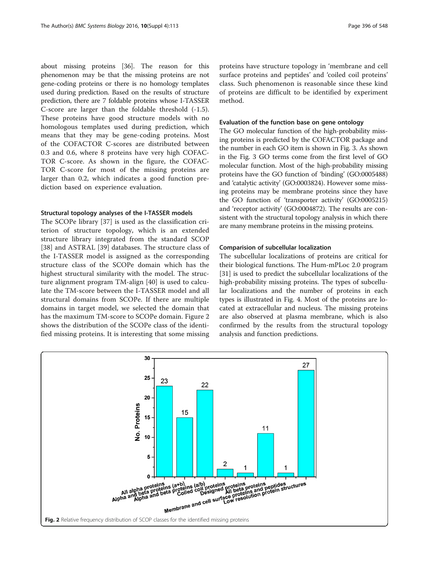about missing proteins [\[36\]](#page-6-0). The reason for this phenomenon may be that the missing proteins are not gene-coding proteins or there is no homology templates used during prediction. Based on the results of structure prediction, there are 7 foldable proteins whose I-TASSER C-score are larger than the foldable threshold (-1.5). These proteins have good structure models with no homologous templates used during prediction, which means that they may be gene-coding proteins. Most of the COFACTOR C-scores are distributed between 0.3 and 0.6, where 8 proteins have very high COFAC-TOR C-score. As shown in the figure, the COFAC-TOR C-score for most of the missing proteins are larger than 0.2, which indicates a good function prediction based on experience evaluation.

#### Structural topology analyses of the I-TASSER models

The SCOPe library [[37\]](#page-6-0) is used as the classification criterion of structure topology, which is an extended structure library integrated from the standard SCOP [[38\]](#page-6-0) and ASTRAL [[39\]](#page-6-0) databases. The structure class of the I-TASSER model is assigned as the corresponding structure class of the SCOPe domain which has the highest structural similarity with the model. The structure alignment program TM-align [[40\]](#page-6-0) is used to calculate the TM-score between the I-TASSER model and all structural domains from SCOPe. If there are multiple domains in target model, we selected the domain that has the maximum TM-score to SCOPe domain. Figure 2 shows the distribution of the SCOPe class of the identified missing proteins. It is interesting that some missing

proteins have structure topology in 'membrane and cell surface proteins and peptides' and 'coiled coil proteins' class. Such phenomenon is reasonable since these kind of proteins are difficult to be identified by experiment method.

## Evaluation of the function base on gene ontology

The GO molecular function of the high-probability missing proteins is predicted by the COFACTOR package and the number in each GO item is shown in Fig. [3](#page-4-0). As shown in the Fig. [3](#page-4-0) GO terms come from the first level of GO molecular function. Most of the high-probability missing proteins have the GO function of 'binding' (GO:0005488) and 'catalytic activity' (GO:0003824). However some missing proteins may be membrane proteins since they have the GO function of 'transporter activity' (GO:0005215) and 'receptor activity' (GO:0004872). The results are consistent with the structural topology analysis in which there are many membrane proteins in the missing proteins.

#### Comparision of subcellular localization

The subcellular localizations of proteins are critical for their biological functions. The Hum-mPLoc 2.0 program [[31\]](#page-6-0) is used to predict the subcellular localizations of the high-probability missing proteins. The types of subcellular localizations and the number of proteins in each types is illustrated in Fig. [4](#page-4-0). Most of the proteins are located at extracellular and nucleus. The missing proteins are also observed at plasma membrane, which is also confirmed by the results from the structural topology analysis and function predictions.

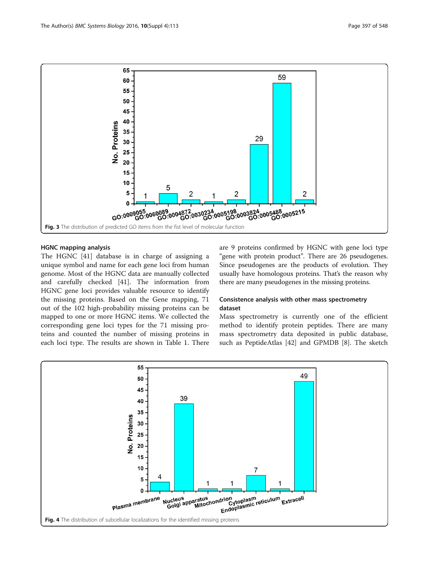<span id="page-4-0"></span>

## HGNC mapping analysis

The HGNC [\[41](#page-6-0)] database is in charge of assigning a unique symbol and name for each gene loci from human genome. Most of the HGNC data are manually collected and carefully checked [[41\]](#page-6-0). The information from HGNC gene loci provides valuable resource to identify the missing proteins. Based on the Gene mapping, 71 out of the 102 high-probability missing proteins can be mapped to one or more HGNC items. We collected the corresponding gene loci types for the 71 missing proteins and counted the number of missing proteins in each loci type. The results are shown in Table [1](#page-5-0). There are 9 proteins confirmed by HGNC with gene loci type "gene with protein product". There are 26 pseudogenes. Since pseudogenes are the products of evolution. They usually have homologous proteins. That's the reason why there are many pseudogenes in the missing proteins.

## Consistence analysis with other mass spectrometry dataset

Mass spectrometry is currently one of the efficient method to identify protein peptides. There are many mass spectrometry data deposited in public database, such as PeptideAtlas [\[42\]](#page-6-0) and GPMDB [[8\]](#page-5-0). The sketch

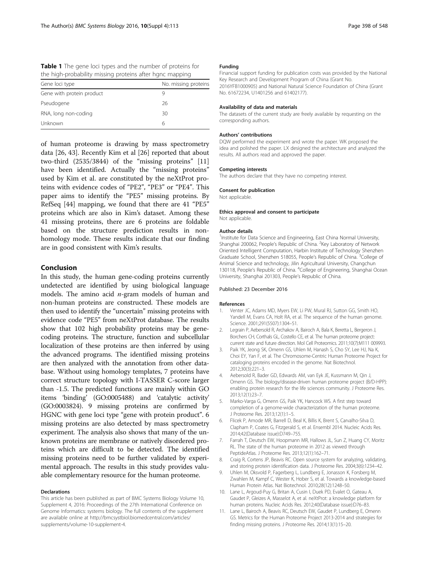<span id="page-5-0"></span>Table 1 The gene loci types and the number of proteins for the high-probability missing proteins after hgnc mapping

| Gene loci type            | No. missing proteins |
|---------------------------|----------------------|
| Gene with protein product |                      |
| Pseudogene                | 26                   |
| RNA, long non-coding      | 30                   |
| Unknown                   | 6                    |

of human proteome is drawing by mass spectrometry data [[26, 43\]](#page-6-0). Recently Kim et al [[26](#page-6-0)] reported that about two-third (2535/3844) of the "missing proteins" [11] have been identified. Actually the "missing proteins" used by Kim et al. are constituted by the neXtProt proteins with evidence codes of "PE2", "PE3" or "PE4". This paper aims to identify the "PE5" missing proteins. By RefSeq [[44](#page-6-0)] mapping, we found that there are 41 "PE5" proteins which are also in Kim's dataset. Among these 41 missing proteins, there are 6 proteins are foldable based on the structure prediction results in nonhomology mode. These results indicate that our finding are in good consistent with Kim's results.

## Conclusion

In this study, the human gene-coding proteins currently undetected are identified by using biological language models. The amino acid  $n$ -gram models of human and non-human proteins are constructed. These models are then used to identify the "uncertain" missing proteins with evidence code "PE5" from neXtProt database. The results show that 102 high probability proteins may be genecoding proteins. The structure, function and subcellular localization of these proteins are then inferred by using the advanced programs. The identified missing proteins are then analyzed with the annotation from other database. Without using homology templates, 7 proteins have correct structure topology with I-TASSER C-score larger than -1.5. The predicted functions are mainly within GO items 'binding' (GO:0005488) and 'catalytic activity' (GO:0003824). 9 missing proteins are confirmed by HGNC with gene loci type "gene with protein product". 6 missing proteins are also detected by mass spectrometry experiment. The analysis also shows that many of the unknown proteins are membrane or natively disordered proteins which are difficult to be detected. The identified missing proteins need to be further validated by experimental approach. The results in this study provides valuable complementary resource for the human proteome.

#### Declarations

This article has been published as part of BMC Systems Biology Volume 10, Supplement 4, 2016: Proceedings of the 27th International Conference on Genome Informatics: systems biology. The full contents of the supplement are available online at [http://bmcsystbiol.biomedcentral.com/articles/](http://bmcsystbiol.biomedcentral.com/articles/supplements/volume-10-supplement-4) [supplements/volume-10-supplement-4.](http://bmcsystbiol.biomedcentral.com/articles/supplements/volume-10-supplement-4)

### Funding

Financial support funding for publication costs was provided by the National Key Research and Development Program of China (Grant No. 2016YFB1000905) and National Natural Science Foundation of China (Grant No. 61672234, U1401256 and 61402177).

#### Availability of data and materials

The datasets of the current study are freely available by requesting on the corresponding authors.

#### Authors' contributions

DQW performed the experiment and wrote the paper. WK proposed the idea and polished the paper. LX designed the architecture and analyzed the results. All authors read and approved the paper.

#### Competing interests

The authors declare that they have no competing interest.

#### Consent for publication

Not applicable.

#### Ethics approval and consent to participate

Not applicable.

#### Author details

<sup>1</sup>Institute for Data Science and Engineering, East China Normal University, Shanghai 200062, People's Republic of China. <sup>2</sup>Key Laboratory of Network Oriented Intelligent Computation, Harbin Institute of Technology Shenzhen Graduate School, Shenzhen 518055, People's Republic of China.<sup>3</sup>College of Animal Science and technology, Jilin Agricultural University, Changchun 130118, People's Republic of China. <sup>4</sup>College of Engineering, Shanghai Ocean University, Shanghai 201303, People's Republic of China.

#### Published: 23 December 2016

#### References

- 1. Venter JC, Adams MD, Myers EW, Li PW, Mural RJ, Sutton GG, Smith HO, Yandell M, Evans CA, Holt RA, et al. The sequence of the human genome. Science. 2001;291(5507):1304–51.
- Legrain P, Aebersold R, Archakov A, Bairoch A, Bala K, Beretta L, Bergeron J, Borchers CH, Corthals GL, Costello CE, et al. The human proteome project: current state and future direction. Mol Cell Proteomics. 2011;10(7):M111 009993.
- 3. Paik YK, Jeong SK, Omenn GS, Uhlen M, Hanash S, Cho SY, Lee HJ, Na K, Choi EY, Yan F, et al. The Chromosome-Centric Human Proteome Project for cataloging proteins encoded in the genome. Nat Biotechnol. 2012;30(3):221–3.
- 4. Aebersold R, Bader GD, Edwards AM, van Eyk JE, Kussmann M, Qin J, Omenn GS. The biology/disease-driven human proteome project (B/D-HPP): enabling protein research for the life sciences community. J Proteome Res. 2013;12(1):23–7.
- 5. Marko-Varga G, Omenn GS, Paik YK, Hancock WS. A first step toward completion of a genome-wide characterization of the human proteome. J Proteome Res. 2013;12(1):1–5.
- 6. Flicek P, Amode MR, Barrell D, Beal K, Billis K, Brent S, Carvalho-Silva D, Clapham P, Coates G, Fitzgerald S, et al. Ensembl 2014. Nucleic Acids Res. 2014;42(Database issue):D749–755.
- 7. Farrah T, Deutsch EW, Hoopmann MR, Hallows JL, Sun Z, Huang CY, Moritz RL. The state of the human proteome in 2012 as viewed through PeptideAtlas. J Proteome Res. 2013;12(1):162–71.
- 8. Craig R, Cortens JP, Beavis RC. Open source system for analyzing, validating, and storing protein identification data. J Proteome Res. 2004;3(6):1234–42.
- 9. Uhlen M, Oksvold P, Fagerberg L, Lundberg E, Jonasson K, Forsberg M, Zwahlen M, Kampf C, Wester K, Hober S, et al. Towards a knowledge-based Human Protein Atlas. Nat Biotechnol. 2010;28(12):1248–50.
- 10. Lane L, Argoud-Puy G, Britan A, Cusin I, Duek PD, Evalet O, Gateau A, Gaudet P, Gleizes A, Masselot A, et al. neXtProt: a knowledge platform for human proteins. Nucleic Acids Res. 2012;40(Database issue):D76–83.
- 11. Lane L, Bairoch A, Beavis RC, Deutsch EW, Gaudet P, Lundberg E, Omenn GS. Metrics for the Human Proteome Project 2013-2014 and strategies for finding missing proteins. J Proteome Res. 2014;13(1):15–20.